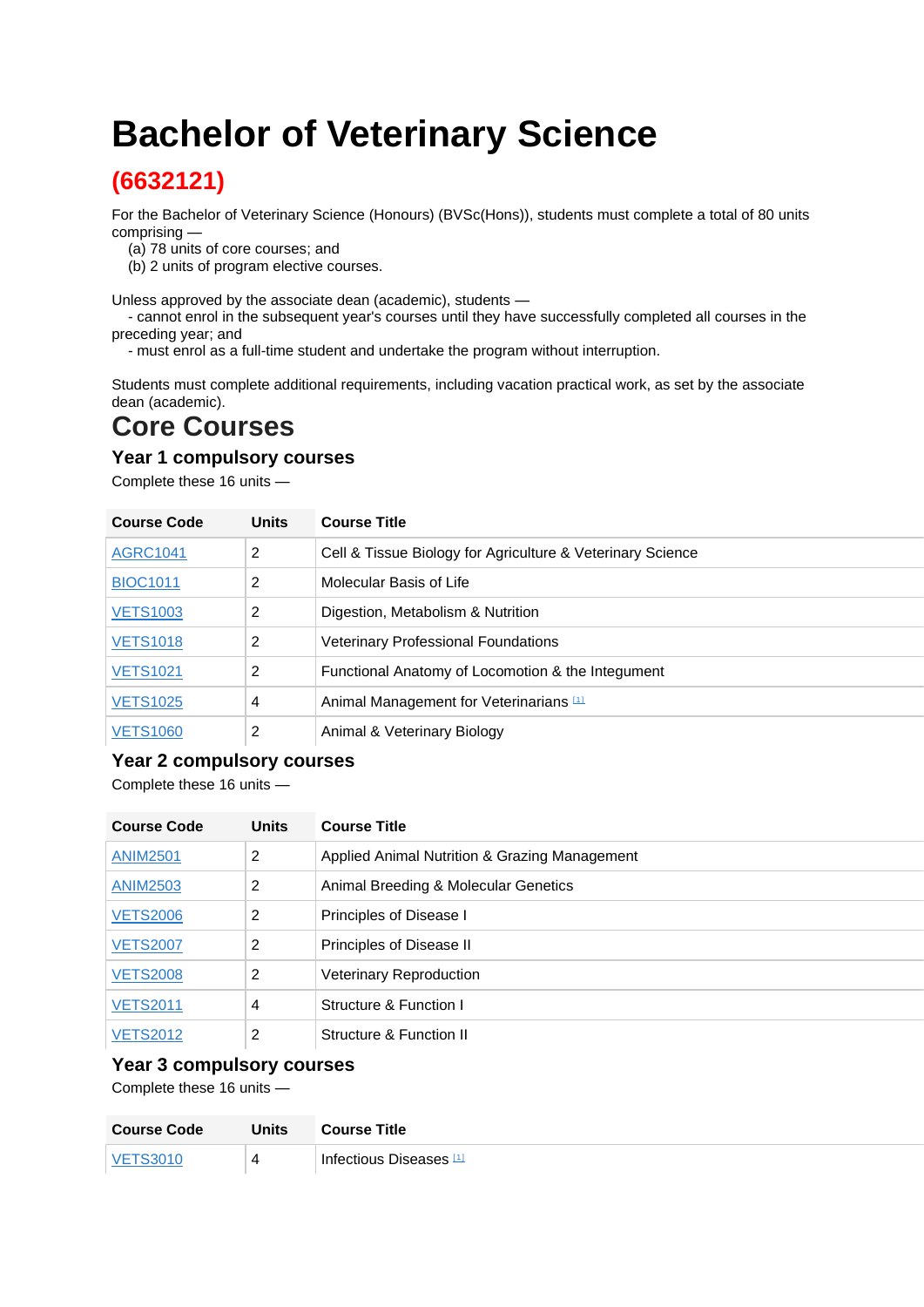# **Bachelor of Veterinary Science**

## **(6632121)**

For the Bachelor of Veterinary Science (Honours) (BVSc(Hons)), students must complete a total of 80 units comprising —

- (a) 78 units of core courses; and
- (b) 2 units of program elective courses.

Unless approved by the associate dean (academic), students —

 - cannot enrol in the subsequent year's courses until they have successfully completed all courses in the preceding year; and

- must enrol as a full-time student and undertake the program without interruption.

Students must complete additional requirements, including vacation practical work, as set by the associate dean (academic).

# **Core Courses**

#### **Year 1 compulsory courses**

Complete these 16 units —

| <b>Course Code</b> | <b>Units</b> | <b>Course Title</b>                                        |
|--------------------|--------------|------------------------------------------------------------|
| <b>AGRC1041</b>    | 2            | Cell & Tissue Biology for Agriculture & Veterinary Science |
| <b>BIOC1011</b>    | 2            | Molecular Basis of Life                                    |
| <b>VETS1003</b>    | 2            | Digestion, Metabolism & Nutrition                          |
| <b>VETS1018</b>    | 2            | <b>Veterinary Professional Foundations</b>                 |
| <b>VETS1021</b>    | 2            | Functional Anatomy of Locomotion & the Integument          |
| <b>VETS1025</b>    | 4            | Animal Management for Veterinarians [1]                    |
| <b>VETS1060</b>    | 2            | Animal & Veterinary Biology                                |

#### **Year 2 compulsory courses**

Complete these 16 units —

| <b>Course Code</b> | <b>Units</b> | <b>Course Title</b>                           |
|--------------------|--------------|-----------------------------------------------|
| <b>ANIM2501</b>    | 2            | Applied Animal Nutrition & Grazing Management |
| <b>ANIM2503</b>    | 2            | Animal Breeding & Molecular Genetics          |
| <b>VETS2006</b>    | 2            | Principles of Disease I                       |
| <b>VETS2007</b>    | 2            | Principles of Disease II                      |
| <b>VETS2008</b>    | 2            | <b>Veterinary Reproduction</b>                |
| <b>VETS2011</b>    | 4            | Structure & Function I                        |
| <b>VETS2012</b>    | 2            | Structure & Function II                       |

#### **Year 3 compulsory courses**

Complete these 16 units —

| <b>Course Code</b> | Units | <b>Course Title</b>     |
|--------------------|-------|-------------------------|
| <b>METROOM</b>     | 4     | Infectious Diseases [1] |